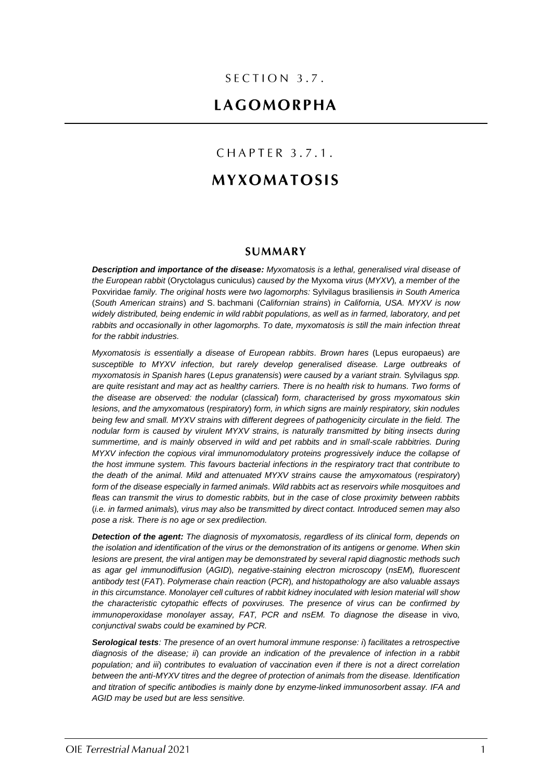## $SECTION 3.7.$

# LAGOMORPHA

## CHAPTER 3.7.1.

# **MYXOMATOSIS**

### **SUMMARY**

*Description and importance of the disease: Myxomatosis is a lethal, generalised viral disease of the European rabbit* (Oryctolagus cuniculus) *caused by the* Myxoma *virus* (*MYXV*)*, a member of the*  Poxviridae *family. The original hosts were two lagomorphs:* Sylvilagus brasiliensis *in South America*  (*South American strains*) *and* S. bachmani (*Californian strains*) *in California, USA. MYXV is now widely distributed, being endemic in wild rabbit populations, as well as in farmed, laboratory, and pet rabbits and occasionally in other lagomorphs. To date, myxomatosis is still the main infection threat for the rabbit industries.*

*Myxomatosis is essentially a disease of European rabbits. Brown hares* (Lepus europaeus) *are susceptible to MYXV infection, but rarely develop generalised disease. Large outbreaks of myxomatosis in Spanish hares* (*Lepus granatensis*) *were caused by a variant strain.* Sylvilagus *spp. are quite resistant and may act as healthy carriers. There is no health risk to humans. Two forms of the disease are observed: the nodular* (*classical*) *form, characterised by gross myxomatous skin lesions, and the amyxomatous* (*respiratory*) *form, in which signs are mainly respiratory, skin nodules*  being few and small. MYXV strains with different degrees of pathogenicity circulate in the field. The *nodular form is caused by virulent MYXV strains, is naturally transmitted by biting insects during summertime, and is mainly observed in wild and pet rabbits and in small-scale rabbitries. During MYXV infection the copious viral immunomodulatory proteins progressively induce the collapse of the host immune system. This favours bacterial infections in the respiratory tract that contribute to the death of the animal. Mild and attenuated MYXV strains cause the amyxomatous* (*respiratory*) *form of the disease especially in farmed animals. Wild rabbits act as reservoirs while mosquitoes and fleas can transmit the virus to domestic rabbits, but in the case of close proximity between rabbits*  (*i.e. in farmed animals*)*, virus may also be transmitted by direct contact. Introduced semen may also pose a risk. There is no age or sex predilection.*

*Detection of the agent: The diagnosis of myxomatosis, regardless of its clinical form, depends on the isolation and identification of the virus or the demonstration of its antigens or genome. When skin lesions are present, the viral antigen may be demonstrated by several rapid diagnostic methods such as agar gel immunodiffusion* (*AGID*)*, negative-staining electron microscopy* (*nsEM*)*, fluorescent antibody test* (*FAT*). *Polymerase chain reaction* (*PCR*)*, and histopathology are also valuable assays in this circumstance. Monolayer cell cultures of rabbit kidney inoculated with lesion material will show the characteristic cytopathic effects of poxviruses. The presence of virus can be confirmed by immunoperoxidase monolayer assay, FAT, PCR and nsEM. To diagnose the disease* in vivo*, conjunctival swabs could be examined by PCR.* 

*Serological tests: The presence of an overt humoral immune response: i*) *facilitates a retrospective diagnosis of the disease; ii*) *can provide an indication of the prevalence of infection in a rabbit population; and iii*) *contributes to evaluation of vaccination even if there is not a direct correlation between the anti-MYXV titres and the degree of protection of animals from the disease. Identification and titration of specific antibodies is mainly done by enzyme-linked immunosorbent assay. IFA and AGID may be used but are less sensitive.*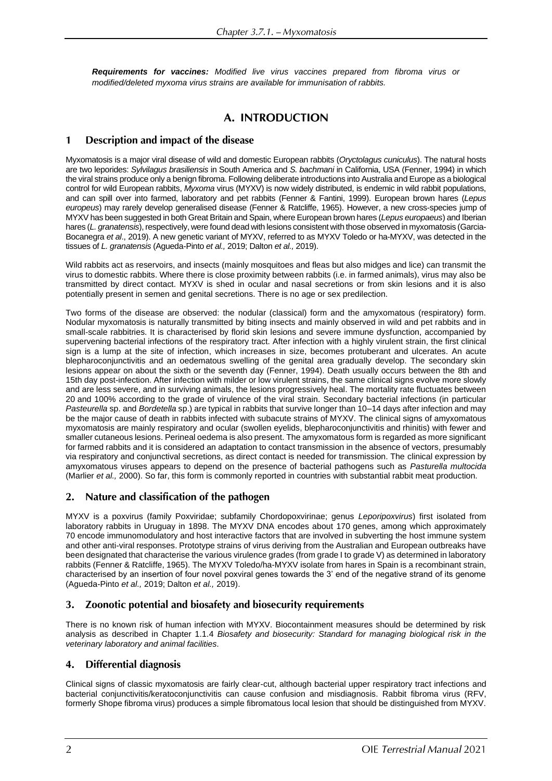*Requirements for vaccines: Modified live virus vaccines prepared from fibroma virus or modified/deleted myxoma virus strains are available for immunisation of rabbits.*

## A. INTRODUCTION

#### Description and impact of the disease  $\mathbf{1}$

Myxomatosis is a major viral disease of wild and domestic European rabbits (*Oryctolagus cuniculus*). The natural hosts are two leporides: *Sylvilagus brasiliensis* in South America and *S. bachmani* in California, USA (Fenner, 1994) in which the viral strains produce only a benign fibroma. Following deliberate introductions into Australia and Europe as a biological control for wild European rabbits, *Myxoma* virus (MYXV) is now widely distributed, is endemic in wild rabbit populations, and can spill over into farmed, laboratory and pet rabbits (Fenner & Fantini, 1999). European brown hares (*Lepus europeus*) may rarely develop generalised disease (Fenner & Ratcliffe, 1965). However, a new cross-species jump of MYXV has been suggested in both Great Britain and Spain, where European brown hares (*Lepus europaeus*) and Iberian hares (L. granatensis), respectively, were found dead with lesions consistent with those observed in myxomatosis (Garcia-Bocanegra *et al*., 2019). A new genetic variant of MYXV, referred to as MYXV Toledo or ha-MYXV, was detected in the tissues of *L. granatensis* (Agueda-Pinto *et al.,* 2019; Dalton *et al.,* 2019).

Wild rabbits act as reservoirs, and insects (mainly mosquitoes and fleas but also midges and lice) can transmit the virus to domestic rabbits. Where there is close proximity between rabbits (i.e. in farmed animals), virus may also be transmitted by direct contact. MYXV is shed in ocular and nasal secretions or from skin lesions and it is also potentially present in semen and genital secretions. There is no age or sex predilection.

Two forms of the disease are observed: the nodular (classical) form and the amyxomatous (respiratory) form. Nodular myxomatosis is naturally transmitted by biting insects and mainly observed in wild and pet rabbits and in small-scale rabbitries. It is characterised by florid skin lesions and severe immune dysfunction, accompanied by supervening bacterial infections of the respiratory tract. After infection with a highly virulent strain, the first clinical sign is a lump at the site of infection, which increases in size, becomes protuberant and ulcerates. An acute blepharoconjunctivitis and an oedematous swelling of the genital area gradually develop. The secondary skin lesions appear on about the sixth or the seventh day (Fenner, 1994). Death usually occurs between the 8th and 15th day post-infection. After infection with milder or low virulent strains, the same clinical signs evolve more slowly and are less severe, and in surviving animals, the lesions progressively heal. The mortality rate fluctuates between 20 and 100% according to the grade of virulence of the viral strain. Secondary bacterial infections (in particular *Pasteurella* sp. and *Bordetella* sp.) are typical in rabbits that survive longer than 10–14 days after infection and may be the major cause of death in rabbits infected with subacute strains of MYXV. The clinical signs of amyxomatous myxomatosis are mainly respiratory and ocular (swollen eyelids, blepharoconjunctivitis and rhinitis) with fewer and smaller cutaneous lesions. Perineal oedema is also present. The amyxomatous form is regarded as more significant for farmed rabbits and it is considered an adaptation to contact transmission in the absence of vectors, presumably via respiratory and conjunctival secretions, as direct contact is needed for transmission. The clinical expression by amyxomatous viruses appears to depend on the presence of bacterial pathogens such as *Pasturella multocida* (Marlier *et al.,* 2000). So far, this form is commonly reported in countries with substantial rabbit meat production.

#### Nature and classification of the pathogen 2.

MYXV is a poxvirus (family Poxviridae; subfamily Chordopoxvirinae; genus *Leporipoxvirus*) first isolated from laboratory rabbits in Uruguay in 1898. The MYXV DNA encodes about 170 genes, among which approximately 70 encode immunomodulatory and host interactive factors that are involved in subverting the host immune system and other anti-viral responses. Prototype strains of virus deriving from the Australian and European outbreaks have been designated that characterise the various virulence grades (from grade I to grade V) as determined in laboratory rabbits (Fenner & Ratcliffe, 1965). The MYXV Toledo/ha-MYXV isolate from hares in Spain is a recombinant strain, characterised by an insertion of four novel poxviral genes towards the 3' end of the negative strand of its genome (Agueda-Pinto *et al.,* 2019; Dalton *et al.,* 2019).

#### Zoonotic potential and biosafety and biosecurity requirements 3.

There is no known risk of human infection with MYXV. Biocontainment measures should be determined by risk analysis as described in Chapter 1.1.4 *Biosafety and biosecurity: Standard for managing biological risk in the veterinary laboratory and animal facilities.*

#### 4. **Differential diagnosis**

Clinical signs of classic myxomatosis are fairly clear-cut, although bacterial upper respiratory tract infections and bacterial conjunctivitis/keratoconjunctivitis can cause confusion and misdiagnosis. Rabbit fibroma virus (RFV, formerly Shope fibroma virus) produces a simple fibromatous local lesion that should be distinguished from MYXV.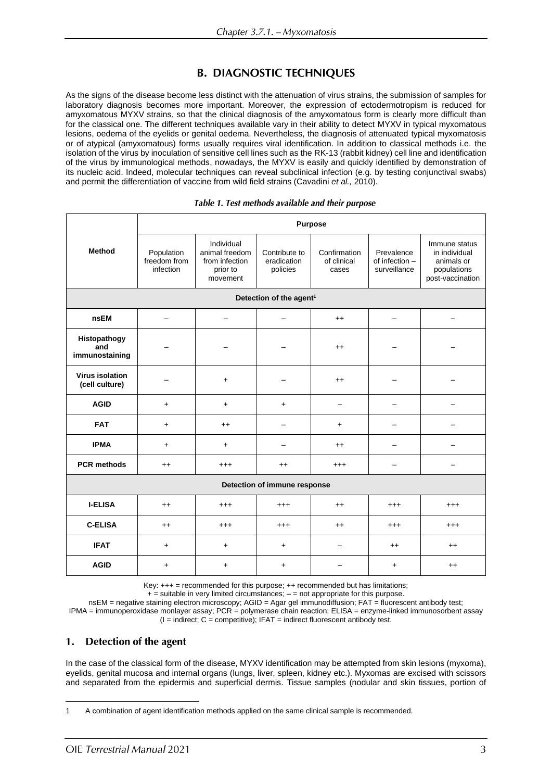# **B. DIAGNOSTIC TECHNIQUES**

As the signs of the disease become less distinct with the attenuation of virus strains, the submission of samples for laboratory diagnosis becomes more important. Moreover, the expression of ectodermotropism is reduced for amyxomatous MYXV strains, so that the clinical diagnosis of the amyxomatous form is clearly more difficult than for the classical one. The different techniques available vary in their ability to detect MYXV in typical myxomatous lesions, oedema of the eyelids or genital oedema. Nevertheless, the diagnosis of attenuated typical myxomatosis or of atypical (amyxomatous) forms usually requires viral identification. In addition to classical methods i.e. the isolation of the virus by inoculation of sensitive cell lines such as the RK-13 (rabbit kidney) cell line and identification of the virus by immunological methods, nowadays, the MYXV is easily and quickly identified by demonstration of its nucleic acid. Indeed, molecular techniques can reveal subclinical infection (e.g. by testing conjunctival swabs) and permit the differentiation of vaccine from wild field strains (Cavadini *et al.,* 2010).

|                                          | <b>Purpose</b>                          |                                                                        |                                          |                                      |                                              |                                                                                 |
|------------------------------------------|-----------------------------------------|------------------------------------------------------------------------|------------------------------------------|--------------------------------------|----------------------------------------------|---------------------------------------------------------------------------------|
| <b>Method</b>                            | Population<br>freedom from<br>infection | Individual<br>animal freedom<br>from infection<br>prior to<br>movement | Contribute to<br>eradication<br>policies | Confirmation<br>of clinical<br>cases | Prevalence<br>of infection -<br>surveillance | Immune status<br>in individual<br>animals or<br>populations<br>post-vaccination |
|                                          |                                         |                                                                        | Detection of the agent <sup>1</sup>      |                                      |                                              |                                                                                 |
| <b>nsEM</b>                              |                                         |                                                                        |                                          | $^{++}$                              |                                              |                                                                                 |
| Histopathogy<br>and<br>immunostaining    |                                         |                                                                        |                                          | $^{++}$                              |                                              |                                                                                 |
| <b>Virus isolation</b><br>(cell culture) |                                         | $\ddot{}$                                                              |                                          | $^{++}$                              |                                              |                                                                                 |
| <b>AGID</b>                              | $\ddot{}$                               | $\ddot{}$                                                              | $\ddot{}$                                |                                      |                                              |                                                                                 |
| <b>FAT</b>                               | $\ddot{}$                               | $^{++}$                                                                |                                          | $\ddot{}$                            |                                              |                                                                                 |
| <b>IPMA</b>                              | $\ddot{}$                               | $\ddot{}$                                                              |                                          | $^{++}$                              |                                              |                                                                                 |
| <b>PCR methods</b>                       | $^{++}$                                 | $^{+++}$                                                               | $^{++}$                                  | $^{+++}$                             |                                              |                                                                                 |
| Detection of immune response             |                                         |                                                                        |                                          |                                      |                                              |                                                                                 |
| <b>I-ELISA</b>                           | $++$                                    | $^{+++}$                                                               | $^{+++}$                                 | $++$                                 | $^{+++}$                                     | $^{+++}$                                                                        |
| <b>C-ELISA</b>                           | $^{++}$                                 | $^{+++}$                                                               | $^{+++}$                                 | $^{++}$                              | $^{+++}$                                     | $^{+++}$                                                                        |
| <b>IFAT</b>                              | $\ddot{}$                               | $\ddot{}$                                                              | $\ddot{}$                                | —                                    | $^{++}$                                      | $^{++}$                                                                         |
| <b>AGID</b>                              | $\ddot{}$                               | $\ddot{}$                                                              | $\ddot{}$                                |                                      | $\ddot{}$                                    | $^{++}$                                                                         |

#### Table 1. Test methods available and their purpose

Key:  $+++$  = recommended for this purpose;  $++$  recommended but has limitations;

 $+$  = suitable in very limited circumstances;  $-$  = not appropriate for this purpose.

nsEM = negative staining electron microscopy; AGID = Agar gel immunodiffusion; FAT = fluorescent antibody test; IPMA = immunoperoxidase monlayer assay; PCR = polymerase chain reaction; ELISA = enzyme-linked immunosorbent assay  $(I = indirect; C = competitive); IFAT = indirect fluorescent antibody test.$ 

#### Detection of the agent 1.

In the case of the classical form of the disease, MYXV identification may be attempted from skin lesions (myxoma), eyelids, genital mucosa and internal organs (lungs, liver, spleen, kidney etc.). Myxomas are excised with scissors and separated from the epidermis and superficial dermis. Tissue samples (nodular and skin tissues, portion of

<sup>1</sup> A combination of agent identification methods applied on the same clinical sample is recommended.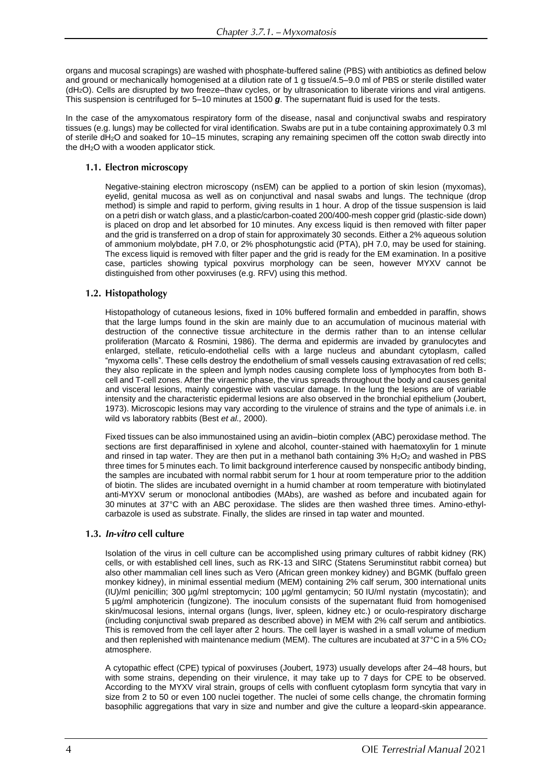organs and mucosal scrapings) are washed with phosphate-buffered saline (PBS) with antibiotics as defined below and ground or mechanically homogenised at a dilution rate of 1 g tissue/4.5–9.0 ml of PBS or sterile distilled water (dH2O). Cells are disrupted by two freeze–thaw cycles, or by ultrasonication to liberate virions and viral antigens. This suspension is centrifuged for 5–10 minutes at 1500 *g*. The supernatant fluid is used for the tests.

In the case of the amyxomatous respiratory form of the disease, nasal and conjunctival swabs and respiratory tissues (e.g. lungs) may be collected for viral identification. Swabs are put in a tube containing approximately 0.3 ml of sterile dH2O and soaked for 10–15 minutes, scraping any remaining specimen off the cotton swab directly into the dH2O with a wooden applicator stick.

#### 1.1. Electron microscopy

Negative-staining electron microscopy (nsEM) can be applied to a portion of skin lesion (myxomas), eyelid, genital mucosa as well as on conjunctival and nasal swabs and lungs. The technique (drop method) is simple and rapid to perform, giving results in 1 hour. A drop of the tissue suspension is laid on a petri dish or watch glass, and a plastic/carbon-coated 200/400-mesh copper grid (plastic-side down) is placed on drop and let absorbed for 10 minutes. Any excess liquid is then removed with filter paper and the grid is transferred on a drop of stain for approximately 30 seconds. Either a 2% aqueous solution of ammonium molybdate, pH 7.0, or 2% phosphotungstic acid (PTA), pH 7.0, may be used for staining. The excess liquid is removed with filter paper and the grid is ready for the EM examination. In a positive case, particles showing typical poxvirus morphology can be seen, however MYXV cannot be distinguished from other poxviruses (e.g. RFV) using this method.

#### 1.2. Histopathology

Histopathology of cutaneous lesions, fixed in 10% buffered formalin and embedded in paraffin, shows that the large lumps found in the skin are mainly due to an accumulation of mucinous material with destruction of the connective tissue architecture in the dermis rather than to an intense cellular proliferation (Marcato & Rosmini, 1986). The derma and epidermis are invaded by granulocytes and enlarged, stellate, reticulo-endothelial cells with a large nucleus and abundant cytoplasm, called "myxoma cells". These cells destroy the endothelium of small vessels causing extravasation of red cells; they also replicate in the spleen and lymph nodes causing complete loss of lymphocytes from both Bcell and T-cell zones. After the viraemic phase, the virus spreads throughout the body and causes genital and visceral lesions, mainly congestive with vascular damage. In the lung the lesions are of variable intensity and the characteristic epidermal lesions are also observed in the bronchial epithelium (Joubert, 1973). Microscopic lesions may vary according to the virulence of strains and the type of animals i.e. in wild vs laboratory rabbits (Best *et al.,* 2000).

Fixed tissues can be also immunostained using an avidin–biotin complex (ABC) peroxidase method. The sections are first deparaffinised in xylene and alcohol, counter-stained with haematoxylin for 1 minute and rinsed in tap water. They are then put in a methanol bath containing  $3\%$  H<sub>2</sub>O<sub>2</sub> and washed in PBS three times for 5 minutes each. To limit background interference caused by nonspecific antibody binding, the samples are incubated with normal rabbit serum for 1 hour at room temperature prior to the addition of biotin. The slides are incubated overnight in a humid chamber at room temperature with biotinylated anti-MYXV serum or monoclonal antibodies (MAbs), are washed as before and incubated again for 30 minutes at 37°C with an ABC peroxidase. The slides are then washed three times. Amino-ethylcarbazole is used as substrate. Finally, the slides are rinsed in tap water and mounted.

### 1.3. *In-vitro* cell culture

Isolation of the virus in cell culture can be accomplished using primary cultures of rabbit kidney (RK) cells, or with established cell lines, such as RK-13 and SIRC (Statens Seruminstitut rabbit cornea) but also other mammalian cell lines such as Vero (African green monkey kidney) and BGMK (buffalo green monkey kidney), in minimal essential medium (MEM) containing 2% calf serum, 300 international units (IU)/ml penicillin; 300 µg/ml streptomycin; 100 µg/ml gentamycin; 50 IU/ml nystatin (mycostatin); and 5 µg/ml amphotericin (fungizone). The inoculum consists of the supernatant fluid from homogenised skin/mucosal lesions, internal organs (lungs, liver, spleen, kidney etc.) or oculo-respiratory discharge (including conjunctival swab prepared as described above) in MEM with 2% calf serum and antibiotics. This is removed from the cell layer after 2 hours. The cell layer is washed in a small volume of medium and then replenished with maintenance medium (MEM). The cultures are incubated at 37°C in a 5% CO<sup>2</sup> atmosphere.

A cytopathic effect (CPE) typical of poxviruses (Joubert, 1973) usually develops after 24–48 hours, but with some strains, depending on their virulence, it may take up to 7 days for CPE to be observed. According to the MYXV viral strain, groups of cells with confluent cytoplasm form syncytia that vary in size from 2 to 50 or even 100 nuclei together. The nuclei of some cells change, the chromatin forming basophilic aggregations that vary in size and number and give the culture a leopard-skin appearance.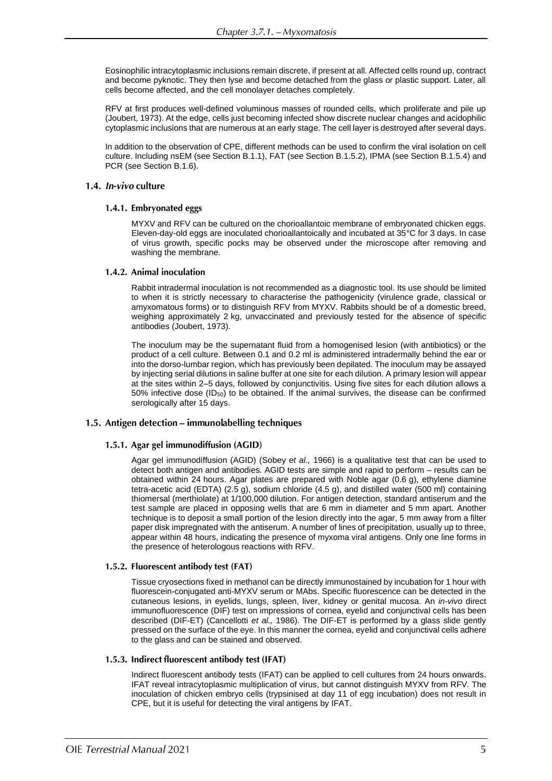Eosinophilic intracytoplasmic inclusions remain discrete, if present at all. Affected cells round up, contract and become pyknotic. They then lyse and become detached from the glass or plastic support. Later, all cells become affected, and the cell monolayer detaches completely.

RFV at first produces well-defined voluminous masses of rounded cells, which proliferate and pile up (Joubert, 1973). At the edge, cells just becoming infected show discrete nuclear changes and acidophilic cytoplasmic inclusions that are numerous at an early stage. The cell layer is destroyed after several days.

In addition to the observation of CPE, different methods can be used to confirm the viral isolation on cell culture. Including nsEM (see Section B.1.1), FAT (see Section B.1.5.2), IPMA (see Section B.1.5.4) and PCR (see Section B.1.6).

### 1.4. In-vivo culture

#### 1.4.1. Embryonated eggs

MYXV and RFV can be cultured on the chorioallantoic membrane of embryonated chicken eggs. Eleven-day-old eggs are inoculated chorioallantoically and incubated at 35°C for 3 days. In case of virus growth, specific pocks may be observed under the microscope after removing and washing the membrane.

#### 1.4.2. Animal inoculation

Rabbit intradermal inoculation is not recommended as a diagnostic tool. Its use should be limited to when it is strictly necessary to characterise the pathogenicity (virulence grade, classical or amyxomatous forms) or to distinguish RFV from MYXV. Rabbits should be of a domestic breed, weighing approximately 2 kg, unvaccinated and previously tested for the absence of specific antibodies (Joubert, 1973).

The inoculum may be the supernatant fluid from a homogenised lesion (with antibiotics) or the product of a cell culture. Between 0.1 and 0.2 ml is administered intradermally behind the ear or into the dorso-lumbar region, which has previously been depilated. The inoculum may be assayed by injecting serial dilutions in saline buffer at one site for each dilution. A primary lesion will appear at the sites within 2–5 days, followed by conjunctivitis. Using five sites for each dilution allows a 50% infective dose (ID50) to be obtained. If the animal survives, the disease can be confirmed serologically after 15 days.

#### 1.5. Antigen detection - immunolabelling techniques

### 1.5.1. Agar gel immunodiffusion (AGID)

Agar gel immunodiffusion (AGID) (Sobey *et al.,* 1966) is a qualitative test that can be used to detect both antigen and antibodies. AGID tests are simple and rapid to perform – results can be obtained within 24 hours. Agar plates are prepared with Noble agar (0.6 g), ethylene diamine tetra-acetic acid (EDTA) (2.5 g), sodium chloride (4.5 g), and distilled water (500 ml) containing thiomersal (merthiolate) at 1/100,000 dilution. For antigen detection, standard antiserum and the test sample are placed in opposing wells that are 6 mm in diameter and 5 mm apart. Another technique is to deposit a small portion of the lesion directly into the agar, 5 mm away from a filter paper disk impregnated with the antiserum. A number of lines of precipitation, usually up to three, appear within 48 hours, indicating the presence of myxoma viral antigens. Only one line forms in the presence of heterologous reactions with RFV.

### 1.5.2. Fluorescent antibody test (FAT)

Tissue cryosections fixed in methanol can be directly immunostained by incubation for 1 hour with fluorescein-conjugated anti-MYXV serum or MAbs. Specific fluorescence can be detected in the cutaneous lesions, in eyelids, lungs, spleen, liver, kidney or genital mucosa. An *in-vivo* direct immunofluorescence (DIF) test on impressions of cornea, eyelid and conjunctival cells has been described (DIF-ET) (Cancellotti *et al.,* 1986). The DIF-ET is performed by a glass slide gently pressed on the surface of the eye. In this manner the cornea, eyelid and conjunctival cells adhere to the glass and can be stained and observed.

#### 1.5.3. Indirect fluorescent antibody test (IFAT)

Indirect fluorescent antibody tests (IFAT) can be applied to cell cultures from 24 hours onwards. IFAT reveal intracytoplasmic multiplication of virus, but cannot distinguish MYXV from RFV*.* The inoculation of chicken embryo cells (trypsinised at day 11 of egg incubation) does not result in CPE, but it is useful for detecting the viral antigens by IFAT.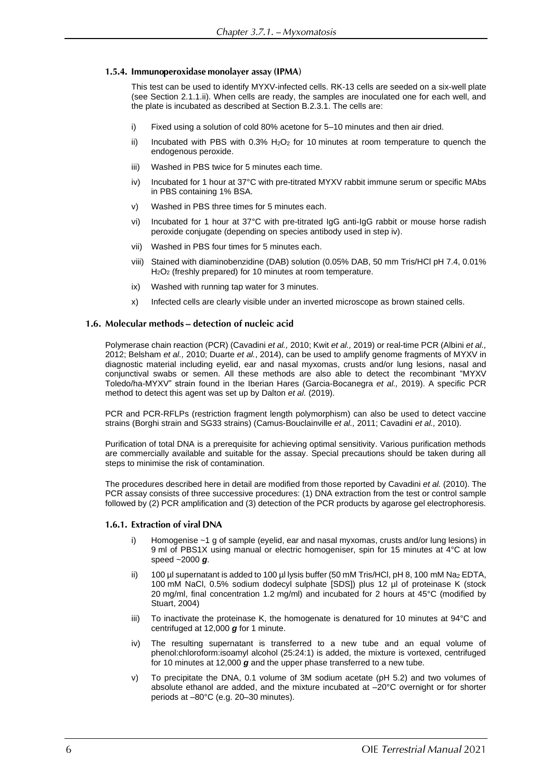#### 1.5.4. Immunoperoxidase monolayer assay (IPMA)

This test can be used to identify MYXV-infected cells. RK-13 cells are seeded on a six-well plate (see Section 2.1.1.ii). When cells are ready, the samples are inoculated one for each well, and the plate is incubated as described at Section B.2.3.1. The cells are:

- i) Fixed using a solution of cold 80% acetone for 5–10 minutes and then air dried.
- ii) Incubated with PBS with  $0.3\%$  H<sub>2</sub>O<sub>2</sub> for 10 minutes at room temperature to quench the endogenous peroxide.
- iii) Washed in PBS twice for 5 minutes each time.
- iv) Incubated for 1 hour at 37°C with pre-titrated MYXV rabbit immune serum or specific MAbs in PBS containing 1% BSA.
- v) Washed in PBS three times for 5 minutes each.
- vi) Incubated for 1 hour at 37°C with pre-titrated IgG anti-IgG rabbit or mouse horse radish peroxide conjugate (depending on species antibody used in step iv).
- vii) Washed in PBS four times for 5 minutes each.
- viii) Stained with diaminobenzidine (DAB) solution (0.05% DAB, 50 mm Tris/HCl pH 7.4, 0.01% H2O<sup>2</sup> (freshly prepared) for 10 minutes at room temperature.
- ix) Washed with running tap water for 3 minutes.
- x) Infected cells are clearly visible under an inverted microscope as brown stained cells.

#### 1.6. Molecular methods – detection of nucleic acid

Polymerase chain reaction (PCR) (Cavadini *et al.,* 2010; Kwit *et al.,* 2019) or real-time PCR (Albini *et al.,* 2012; Belsham *et al.,* 2010; Duarte *et al.*, 2014), can be used to amplify genome fragments of MYXV in diagnostic material including eyelid, ear and nasal myxomas, crusts and/or lung lesions, nasal and conjunctival swabs or semen. All these methods are also able to detect the recombinant "MYXV Toledo/ha-MYXV" strain found in the Iberian Hares (Garcia-Bocanegra *et al.,* 2019). A specific PCR method to detect this agent was set up by Dalton *et al.* (2019).

PCR and PCR-RFLPs (restriction fragment length polymorphism) can also be used to detect vaccine strains (Borghi strain and SG33 strains) (Camus-Bouclainville *et al.,* 2011; Cavadini *et al.,* 2010).

Purification of total DNA is a prerequisite for achieving optimal sensitivity. Various purification methods are commercially available and suitable for the assay. Special precautions should be taken during all steps to minimise the risk of contamination.

The procedures described here in detail are modified from those reported by Cavadini *et al.* (2010). The PCR assay consists of three successive procedures: (1) DNA extraction from the test or control sample followed by (2) PCR amplification and (3) detection of the PCR products by agarose gel electrophoresis.

#### 1.6.1. Extraction of viral DNA

- i) Homogenise ~1 g of sample (eyelid, ear and nasal myxomas, crusts and/or lung lesions) in 9 ml of PBS1X using manual or electric homogeniser, spin for 15 minutes at 4°C at low speed ~2000 *g*.
- ii) 100 µl supernatant is added to 100 µl lysis buffer (50 mM Tris/HCl, pH 8, 100 mM Na<sub>2</sub> EDTA, 100 mM NaCl, 0.5% sodium dodecyl sulphate [SDS]) plus 12 µl of proteinase K (stock 20 mg/ml, final concentration 1.2 mg/ml) and incubated for 2 hours at 45°C (modified by Stuart, 2004)
- iii) To inactivate the proteinase K, the homogenate is denatured for 10 minutes at 94°C and centrifuged at 12,000 *g* for 1 minute.
- iv) The resulting supernatant is transferred to a new tube and an equal volume of phenol:chloroform:isoamyl alcohol (25:24:1) is added, the mixture is vortexed, centrifuged for 10 minutes at 12,000 *g* and the upper phase transferred to a new tube.
- v) To precipitate the DNA, 0.1 volume of 3M sodium acetate (pH 5.2) and two volumes of absolute ethanol are added, and the mixture incubated at –20°C overnight or for shorter periods at –80°C (e.g. 20–30 minutes).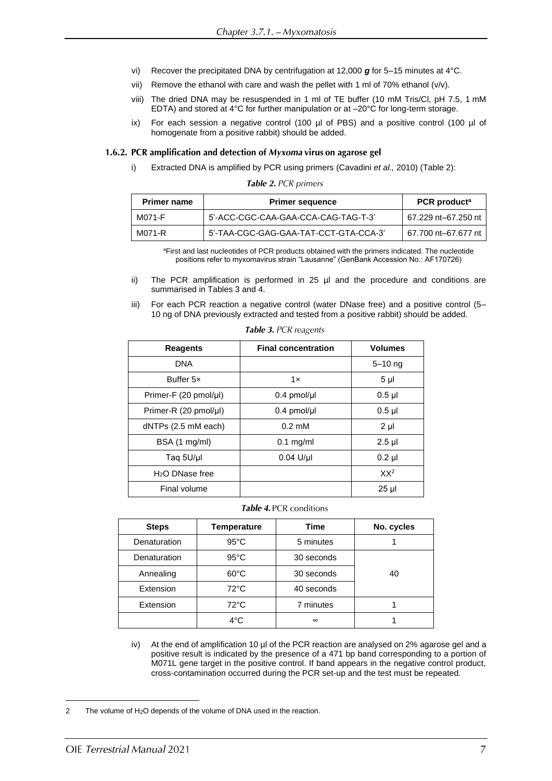- vi) Recover the precipitated DNA by centrifugation at 12,000 *g* for 5–15 minutes at 4°C.
- vii) Remove the ethanol with care and wash the pellet with 1 ml of 70% ethanol (v/v).
- viii) The dried DNA may be resuspended in 1 ml of TE buffer (10 mM Tris/Cl, pH 7.5, 1 mM EDTA) and stored at 4°C for further manipulation or at –20°C for long-term storage.
- ix) For each session a negative control (100  $\mu$ l of PBS) and a positive control (100  $\mu$ l of homogenate from a positive rabbit) should be added.

#### 1.6.2. PCR amplification and detection of Myxoma virus on agarose gel

i) Extracted DNA is amplified by PCR using primers (Cavadini *et al.,* 2010) (Table 2):

Table 2. PCR primers

| <b>Primer name</b> | <b>Primer sequence</b>                | PCR product <sup>a</sup> |
|--------------------|---------------------------------------|--------------------------|
| M071-F             | 5'-ACC-CGC-CAA-GAA-CCA-CAG-TAG-T-3'   | 67.229 nt–67.250 nt      |
| M071-R             | 5'-TAA-CGC-GAG-GAA-TAT-CCT-GTA-CCA-3' | 67.700 nt–67.677 nt      |

<sup>a</sup>First and last nucleotides of PCR products obtained with the primers indicated. The nucleotide positions refer to myxomavirus strain "Lausanne" (GenBank Accession No.: AF170726)

- ii) The PCR amplification is performed in 25 µl and the procedure and conditions are summarised in Tables 3 and 4.
- iii) For each PCR reaction a negative control (water DNase free) and a positive control (5– 10 ng of DNA previously extracted and tested from a positive rabbit) should be added.

| <b>Reagents</b>       | <b>Final concentration</b> | <b>Volumes</b>  |
|-----------------------|----------------------------|-----------------|
| <b>DNA</b>            |                            | $5 - 10$ ng     |
| Buffer 5x             | 1x                         | $5 \mu$         |
| Primer-F (20 pmol/µl) | 0.4 pmol/µl                | $0.5$ µl        |
| Primer-R (20 pmol/µl) | $0.4$ pmol/µl              | $0.5$ µl        |
| $dNTPs$ (2.5 mM each) | $0.2 \text{ }\mathrm{mM}$  | $2 \mu$         |
| BSA (1 mg/ml)         | $0.1$ mg/ml                | $2.5$ µl        |
| Taq 5U/µl             | $0.04$ U/µl                | $0.2$ µl        |
| $H2O$ DNase free      |                            | XX <sup>2</sup> |
| Final volume          |                            | $25 \mu$        |

Table 3. PCR reagents

#### Table 4. PCR conditions

| <b>Steps</b> | Temperature    | Time       | No. cycles |
|--------------|----------------|------------|------------|
| Denaturation | $95^{\circ}$ C | 5 minutes  |            |
| Denaturation | $95^{\circ}$ C | 30 seconds |            |
| Annealing    | $60^{\circ}$ C | 30 seconds | 40         |
| Extension    | $72^{\circ}$ C | 40 seconds |            |
| Extension    | $72^{\circ}$ C | 7 minutes  |            |
|              | 4°C            | $\infty$   |            |

iv) At the end of amplification 10 µl of the PCR reaction are analysed on 2% agarose gel and a positive result is indicated by the presence of a 471 bp band corresponding to a portion of M071L gene target in the positive control. If band appears in the negative control product, cross-contamination occurred during the PCR set-up and the test must be repeated.

<sup>2</sup> The volume of H<sub>2</sub>O depends of the volume of DNA used in the reaction.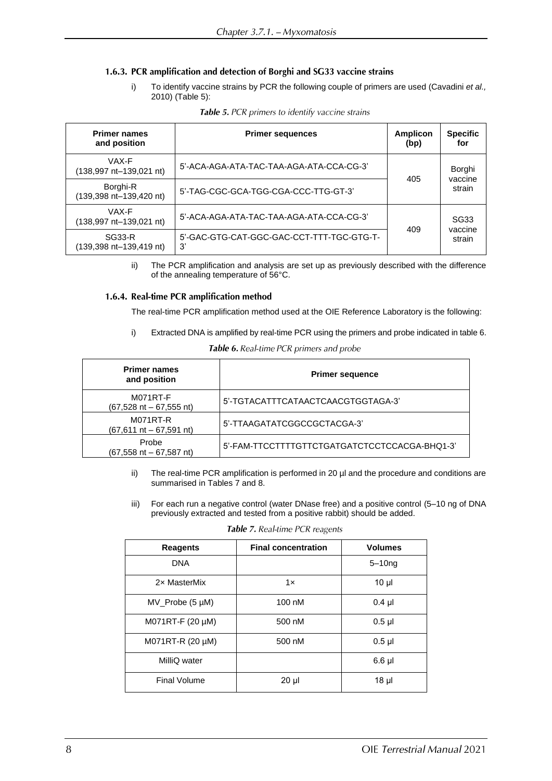### 1.6.3. PCR amplification and detection of Borghi and SG33 vaccine strains

i) To identify vaccine strains by PCR the following couple of primers are used (Cavadini *et al.,* 2010) (Table 5):

| <b>Primer names</b><br>and position      | <b>Primer sequences</b>                         | Amplicon<br>(bp) | <b>Specific</b><br>for |
|------------------------------------------|-------------------------------------------------|------------------|------------------------|
| VAX-F<br>(138,997 nt-139,021 nt)         | 5'-ACA-AGA-ATA-TAC-TAA-AGA-ATA-CCA-CG-3'        | 405              | Borghi                 |
| Borghi-R<br>(139,398 nt-139,420 nt)      | 5'-TAG-CGC-GCA-TGG-CGA-CCC-TTG-GT-3'            |                  | vaccine<br>strain      |
| VAX-F<br>(138,997 nt-139,021 nt)         | 5'-ACA-AGA-ATA-TAC-TAA-AGA-ATA-CCA-CG-3'        | 409              | <b>SG33</b>            |
| <b>SG33-R</b><br>(139,398 nt-139,419 nt) | 5'-GAC-GTG-CAT-GGC-GAC-CCT-TTT-TGC-GTG-T-<br>3' |                  | vaccine<br>strain      |

|  | Table 5. PCR primers to identify vaccine strains |
|--|--------------------------------------------------|
|--|--------------------------------------------------|

ii) The PCR amplification and analysis are set up as previously described with the difference of the annealing temperature of 56°C.

#### 1.6.4. Real-time PCR amplification method

The real-time PCR amplification method used at the OIE Reference Laboratory is the following:

i) Extracted DNA is amplified by real-time PCR using the primers and probe indicated in table 6.

| <b>Table 6.</b> Real-time PCR primers and probe |  |  |
|-------------------------------------------------|--|--|
|-------------------------------------------------|--|--|

| <b>Primer names</b><br>and position           | <b>Primer sequence</b>                        |
|-----------------------------------------------|-----------------------------------------------|
| <b>M071RT-F</b><br>$(67,528$ nt $-67,555$ nt) | 5'-TGTACATTTCATAACTCAACGTGGTAGA-3'            |
| M071RT-R<br>$(67, 611$ nt $- 67, 591$ nt)     | 5'-TTAAGATATCGGCCGCTACGA-3'                   |
| Probe<br>$(67,558$ nt $-67,587$ nt)           | 5'-FAM-TTCCTTTTGTTCTGATGATCTCCTCCACGA-BHQ1-3' |

- ii) The real-time PCR amplification is performed in 20 µl and the procedure and conditions are summarised in Tables 7 and 8.
- iii) For each run a negative control (water DNase free) and a positive control (5–10 ng of DNA previously extracted and tested from a positive rabbit) should be added.

| <b>Reagents</b>         | <b>Final concentration</b> | <b>Volumes</b>  |
|-------------------------|----------------------------|-----------------|
| <b>DNA</b>              |                            | $5 - 10nq$      |
| 2x MasterMix            | 1x                         | 10 <sub>µ</sub> |
| $MV_P$ robe (5 $\mu$ M) | 100 nM                     | $0.4$ µl        |
| M071RT-F $(20 \mu M)$   | 500 nM                     | $0.5$ µl        |
| M071RT-R (20 µM)        | 500 nM                     | $0.5$ µl        |
| MilliQ water            |                            | $6.6$ µl        |
| Final Volume            | $20 \mu$                   | 18 <sub>µ</sub> |

Table 7. Real-time PCR reagents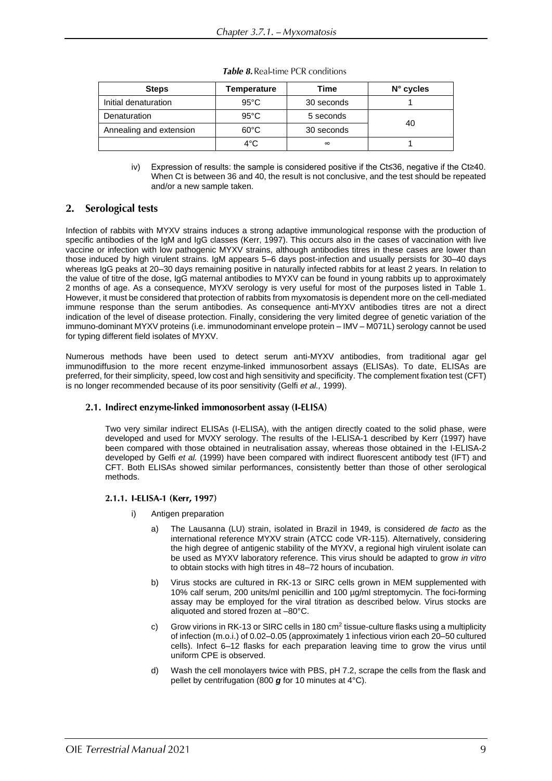| <b>Steps</b>            | Temperature    | Time       | $N^{\circ}$ cycles |  |
|-------------------------|----------------|------------|--------------------|--|
| Initial denaturation    | $95^{\circ}$ C | 30 seconds |                    |  |
| Denaturation            | $95^{\circ}$ C | 5 seconds  | 40                 |  |
| Annealing and extension | $60^{\circ}$ C | 30 seconds |                    |  |
|                         | $4^{\circ}$ C  | $\infty$   |                    |  |

Table 8. Real-time PCR conditions

iv) Expression of results: the sample is considered positive if the Ct≤36, negative if the Ct≥40. When Ct is between 36 and 40, the result is not conclusive, and the test should be repeated and/or a new sample taken.

#### **2. Serological tests**

Infection of rabbits with MYXV strains induces a strong adaptive immunological response with the production of specific antibodies of the IgM and IgG classes (Kerr, 1997). This occurs also in the cases of vaccination with live vaccine or infection with low pathogenic MYXV strains, although antibodies titres in these cases are lower than those induced by high virulent strains. IgM appears 5–6 days post-infection and usually persists for 30–40 days whereas IgG peaks at 20–30 days remaining positive in naturally infected rabbits for at least 2 years. In relation to the value of titre of the dose, IgG maternal antibodies to MYXV can be found in young rabbits up to approximately 2 months of age. As a consequence, MYXV serology is very useful for most of the purposes listed in Table 1. However, it must be considered that protection of rabbits from myxomatosis is dependent more on the cell-mediated immune response than the serum antibodies. As consequence anti-MYXV antibodies titres are not a direct indication of the level of disease protection. Finally, considering the very limited degree of genetic variation of the immuno-dominant MYXV proteins (i.e. immunodominant envelope protein – IMV – M071L) serology cannot be used for typing different field isolates of MYXV.

Numerous methods have been used to detect serum anti-MYXV antibodies, from traditional agar gel immunodiffusion to the more recent enzyme-linked immunosorbent assays (ELISAs). To date, ELISAs are preferred, for their simplicity, speed, low cost and high sensitivity and specificity. The complement fixation test (CFT) is no longer recommended because of its poor sensitivity (Gelfi *et al.,* 1999).

### 2.1. Indirect enzyme-linked immonosorbent assay (I-ELISA)

Two very similar indirect ELISAs (I-ELISA), with the antigen directly coated to the solid phase, were developed and used for MVXY serology. The results of the I-ELISA-1 described by Kerr (1997) have been compared with those obtained in neutralisation assay, whereas those obtained in the I-ELISA-2 developed by Gelfi *et al.* (1999) have been compared with indirect fluorescent antibody test (IFT) and CFT. Both ELISAs showed similar performances, consistently better than those of other serological methods.

#### 2.1.1. I-ELISA-1 (Kerr, 1997)

- i) Antigen preparation
	- a) The Lausanna (LU) strain, isolated in Brazil in 1949, is considered *de facto* as the international reference MYXV strain (ATCC code VR-115). Alternatively, considering the high degree of antigenic stability of the MYXV, a regional high virulent isolate can be used as MYXV laboratory reference. This virus should be adapted to grow *in vitro* to obtain stocks with high titres in 48–72 hours of incubation.
	- b) Virus stocks are cultured in RK-13 or SIRC cells grown in MEM supplemented with 10% calf serum, 200 units/ml penicillin and 100 µg/ml streptomycin. The foci-forming assay may be employed for the viral titration as described below. Virus stocks are aliquoted and stored frozen at –80°C.
	- c) Grow virions in RK-13 or SIRC cells in 180 cm<sup>2</sup> tissue-culture flasks using a multiplicity of infection (m.o.i.) of 0.02–0.05 (approximately 1 infectious virion each 20–50 cultured cells). Infect 6–12 flasks for each preparation leaving time to grow the virus until uniform CPE is observed.
	- d) Wash the cell monolayers twice with PBS, pH 7.2, scrape the cells from the flask and pellet by centrifugation (800 *g* for 10 minutes at 4°C).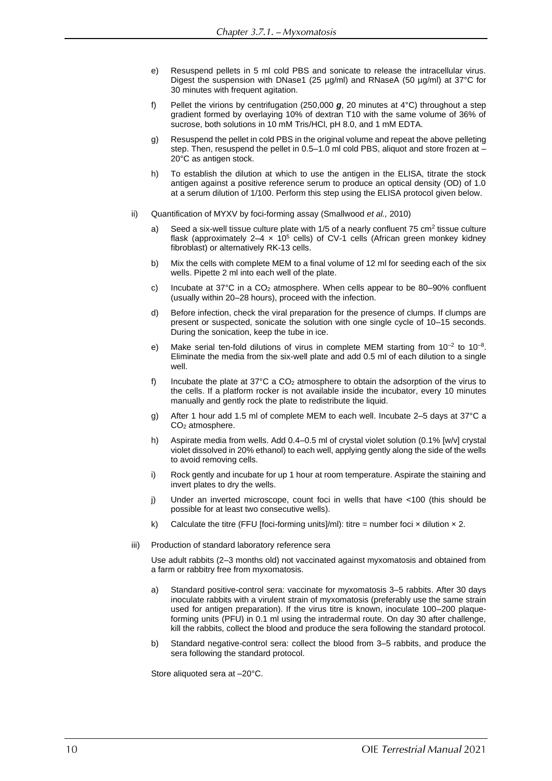- e) Resuspend pellets in 5 ml cold PBS and sonicate to release the intracellular virus. Digest the suspension with DNase1 (25  $\mu$ g/ml) and RNaseA (50  $\mu$ g/ml) at 37°C for 30 minutes with frequent agitation.
- f) Pellet the virions by centrifugation (250,000 *g*, 20 minutes at 4°C) throughout a step gradient formed by overlaying 10% of dextran T10 with the same volume of 36% of sucrose, both solutions in 10 mM Tris/HCl, pH 8.0, and 1 mM EDTA.
- g) Resuspend the pellet in cold PBS in the original volume and repeat the above pelleting step. Then, resuspend the pellet in 0.5–1.0 ml cold PBS, aliquot and store frozen at – 20°C as antigen stock.
- h) To establish the dilution at which to use the antigen in the ELISA, titrate the stock antigen against a positive reference serum to produce an optical density (OD) of 1.0 at a serum dilution of 1/100. Perform this step using the ELISA protocol given below.
- ii) Quantification of MYXV by foci-forming assay (Smallwood *et al.,* 2010)
	- a) Seed a six-well tissue culture plate with  $1/5$  of a nearly confluent  $75 \text{ cm}^2$  tissue culture flask (approximately  $2-4 \times 10^5$  cells) of CV-1 cells (African green monkey kidney fibroblast) or alternatively RK-13 cells.
	- b) Mix the cells with complete MEM to a final volume of 12 ml for seeding each of the six wells. Pipette 2 ml into each well of the plate.
	- c) Incubate at  $37^{\circ}$ C in a CO<sub>2</sub> atmosphere. When cells appear to be 80–90% confluent (usually within 20–28 hours), proceed with the infection.
	- d) Before infection, check the viral preparation for the presence of clumps. If clumps are present or suspected, sonicate the solution with one single cycle of 10–15 seconds. During the sonication, keep the tube in ice.
	- e) Make serial ten-fold dilutions of virus in complete MEM starting from  $10^{-2}$  to  $10^{-8}$ . Eliminate the media from the six-well plate and add 0.5 ml of each dilution to a single well.
	- f) Incubate the plate at  $37^{\circ}$ C a CO<sub>2</sub> atmosphere to obtain the adsorption of the virus to the cells. If a platform rocker is not available inside the incubator, every 10 minutes manually and gently rock the plate to redistribute the liquid.
	- g) After 1 hour add 1.5 ml of complete MEM to each well. Incubate 2–5 days at 37°C a CO<sup>2</sup> atmosphere.
	- h) Aspirate media from wells. Add 0.4–0.5 ml of crystal violet solution (0.1% [w/v] crystal violet dissolved in 20% ethanol) to each well, applying gently along the side of the wells to avoid removing cells.
	- i) Rock gently and incubate for up 1 hour at room temperature. Aspirate the staining and invert plates to dry the wells.
	- j) Under an inverted microscope, count foci in wells that have <100 (this should be possible for at least two consecutive wells).
	- k) Calculate the titre (FFU [foci-forming units]/ml): titre = number foci  $\times$  dilution  $\times$  2.
- iii) Production of standard laboratory reference sera

Use adult rabbits (2–3 months old) not vaccinated against myxomatosis and obtained from a farm or rabbitry free from myxomatosis.

- a) Standard positive-control sera: vaccinate for myxomatosis 3–5 rabbits. After 30 days inoculate rabbits with a virulent strain of myxomatosis (preferably use the same strain used for antigen preparation). If the virus titre is known, inoculate 100–200 plaqueforming units (PFU) in 0.1 ml using the intradermal route. On day 30 after challenge, kill the rabbits, collect the blood and produce the sera following the standard protocol.
- b) Standard negative-control sera: collect the blood from 3–5 rabbits, and produce the sera following the standard protocol.

Store aliquoted sera at –20°C.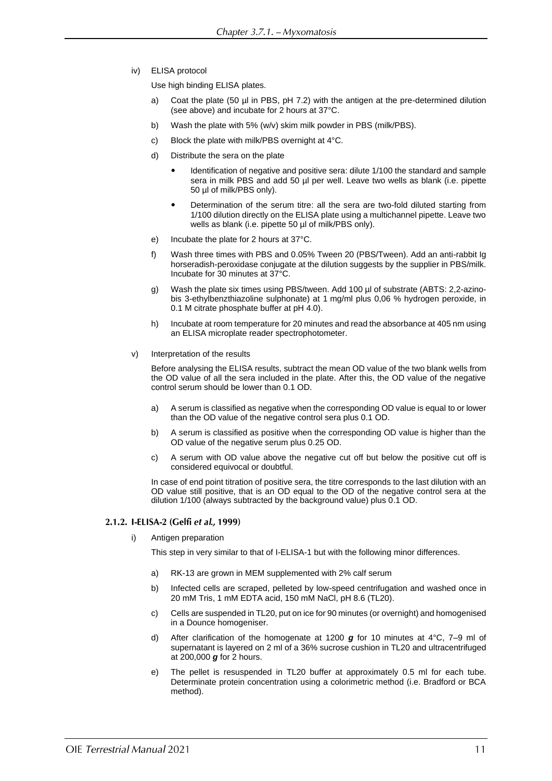iv) ELISA protocol

Use high binding ELISA plates.

- a) Coat the plate (50 µl in PBS, pH 7.2) with the antigen at the pre-determined dilution (see above) and incubate for 2 hours at 37°C.
- b) Wash the plate with 5% (w/v) skim milk powder in PBS (milk/PBS).
- c) Block the plate with milk/PBS overnight at 4°C.
- d) Distribute the sera on the plate
	- Identification of negative and positive sera: dilute 1/100 the standard and sample sera in milk PBS and add 50 µl per well. Leave two wells as blank (i.e. pipette 50 µl of milk/PBS only).
	- Determination of the serum titre: all the sera are two-fold diluted starting from 1/100 dilution directly on the ELISA plate using a multichannel pipette. Leave two wells as blank (i.e. pipette 50 µl of milk/PBS only).
- e) Incubate the plate for 2 hours at 37°C.
- f) Wash three times with PBS and 0.05% Tween 20 (PBS/Tween). Add an anti-rabbit Ig horseradish-peroxidase conjugate at the dilution suggests by the supplier in PBS/milk. Incubate for 30 minutes at 37°C.
- g) Wash the plate six times using PBS/tween. Add 100 µl of substrate (ABTS: 2,2-azinobis 3-ethylbenzthiazoline sulphonate) at 1 mg/ml plus 0,06 % hydrogen peroxide, in 0.1 M citrate phosphate buffer at pH 4.0).
- h) Incubate at room temperature for 20 minutes and read the absorbance at 405 nm using an ELISA microplate reader spectrophotometer.
- v) Interpretation of the results

Before analysing the ELISA results, subtract the mean OD value of the two blank wells from the OD value of all the sera included in the plate. After this, the OD value of the negative control serum should be lower than 0.1 OD.

- a) A serum is classified as negative when the corresponding OD value is equal to or lower than the OD value of the negative control sera plus 0.1 OD.
- b) A serum is classified as positive when the corresponding OD value is higher than the OD value of the negative serum plus 0.25 OD.
- c) A serum with OD value above the negative cut off but below the positive cut off is considered equivocal or doubtful.

In case of end point titration of positive sera, the titre corresponds to the last dilution with an OD value still positive, that is an OD equal to the OD of the negative control sera at the dilution 1/100 (always subtracted by the background value) plus 0.1 OD.

#### 2.1.2. I-ELISA-2 (Gelfi et al., 1999)

i) Antigen preparation

This step in very similar to that of I-ELISA-1 but with the following minor differences.

- a) RK-13 are grown in MEM supplemented with 2% calf serum
- b) Infected cells are scraped, pelleted by low-speed centrifugation and washed once in 20 mM Tris, 1 mM EDTA acid, 150 mM NaCl, pH 8.6 (TL20).
- c) Cells are suspended in TL20, put on ice for 90 minutes (or overnight) and homogenised in a Dounce homogeniser.
- d) After clarification of the homogenate at 1200 *g* for 10 minutes at 4°C, 7–9 ml of supernatant is layered on 2 ml of a 36% sucrose cushion in TL20 and ultracentrifuged at 200,000 *g* for 2 hours.
- e) The pellet is resuspended in TL20 buffer at approximately 0.5 ml for each tube. Determinate protein concentration using a colorimetric method (i.e. Bradford or BCA method).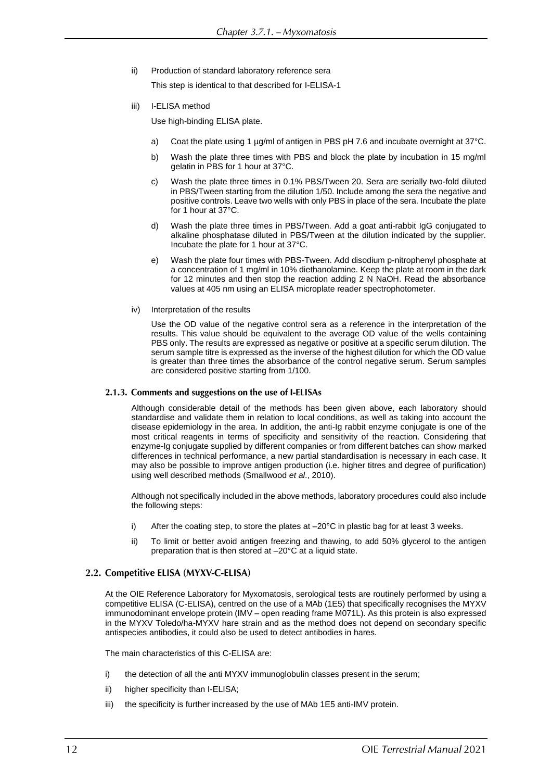ii) Production of standard laboratory reference sera

This step is identical to that described for I-ELISA-1

iii) I-ELISA method

Use high-binding ELISA plate.

- a) Coat the plate using 1 µg/ml of antigen in PBS pH 7.6 and incubate overnight at 37°C.
- b) Wash the plate three times with PBS and block the plate by incubation in 15 mg/ml gelatin in PBS for 1 hour at 37°C.
- c) Wash the plate three times in 0.1% PBS/Tween 20. Sera are serially two-fold diluted in PBS/Tween starting from the dilution 1/50. Include among the sera the negative and positive controls. Leave two wells with only PBS in place of the sera. Incubate the plate for 1 hour at 37°C.
- d) Wash the plate three times in PBS/Tween. Add a goat anti-rabbit IgG conjugated to alkaline phosphatase diluted in PBS/Tween at the dilution indicated by the supplier. Incubate the plate for 1 hour at 37°C.
- e) Wash the plate four times with PBS-Tween. Add disodium p-nitrophenyl phosphate at a concentration of 1 mg/ml in 10% diethanolamine. Keep the plate at room in the dark for 12 minutes and then stop the reaction adding 2 N NaOH. Read the absorbance values at 405 nm using an ELISA microplate reader spectrophotometer.
- iv) Interpretation of the results

Use the OD value of the negative control sera as a reference in the interpretation of the results. This value should be equivalent to the average OD value of the wells containing PBS only. The results are expressed as negative or positive at a specific serum dilution. The serum sample titre is expressed as the inverse of the highest dilution for which the OD value is greater than three times the absorbance of the control negative serum. Serum samples are considered positive starting from 1/100.

#### 2.1.3. Comments and suggestions on the use of I-ELISAs

Although considerable detail of the methods has been given above, each laboratory should standardise and validate them in relation to local conditions, as well as taking into account the disease epidemiology in the area. In addition, the anti-Ig rabbit enzyme conjugate is one of the most critical reagents in terms of specificity and sensitivity of the reaction. Considering that enzyme-Ig conjugate supplied by different companies or from different batches can show marked differences in technical performance, a new partial standardisation is necessary in each case. It may also be possible to improve antigen production (i.e. higher titres and degree of purification) using well described methods (Smallwood *et al*., 2010).

Although not specifically included in the above methods, laboratory procedures could also include the following steps:

- i) After the coating step, to store the plates at  $-20^{\circ}$ C in plastic bag for at least 3 weeks.
- ii) To limit or better avoid antigen freezing and thawing, to add 50% glycerol to the antigen preparation that is then stored at –20°C at a liquid state.

#### 2.2. Competitive ELISA (MYXV-C-ELISA)

At the OIE Reference Laboratory for Myxomatosis, serological tests are routinely performed by using a competitive ELISA (C-ELISA), centred on the use of a MAb (1E5) that specifically recognises the MYXV immunodominant envelope protein (IMV – open reading frame M071L). As this protein is also expressed in the MYXV Toledo/ha-MYXV hare strain and as the method does not depend on secondary specific antispecies antibodies, it could also be used to detect antibodies in hares.

The main characteristics of this C-ELISA are:

- i) the detection of all the anti MYXV immunoglobulin classes present in the serum;
- ii) higher specificity than I-ELISA;
- iii) the specificity is further increased by the use of MAb 1E5 anti-IMV protein.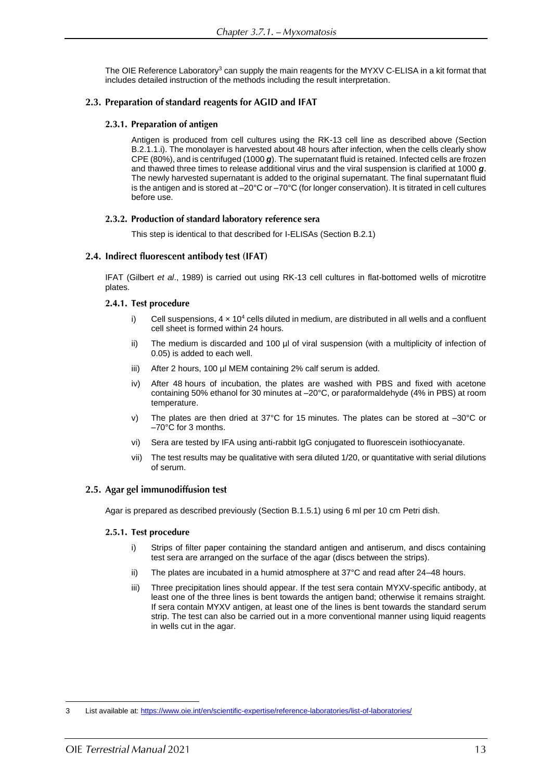The OIE Reference Laboratory<sup>3</sup> can supply the main reagents for the MYXV C-ELISA in a kit format that includes detailed instruction of the methods including the result interpretation.

#### 2.3. Preparation of standard reagents for AGID and IFAT

#### 2.3.1. Preparation of antigen

Antigen is produced from cell cultures using the RK-13 cell line as described above (Section B.2.1.1.i). The monolayer is harvested about 48 hours after infection, when the cells clearly show CPE (80%), and is centrifuged (1000 *g*). The supernatant fluid is retained. Infected cells are frozen and thawed three times to release additional virus and the viral suspension is clarified at 1000 *g*. The newly harvested supernatant is added to the original supernatant. The final supernatant fluid is the antigen and is stored at –20°C or –70°C (for longer conservation). It is titrated in cell cultures before use.

#### 2.3.2. Production of standard laboratory reference sera

This step is identical to that described for I-ELISAs (Section B.2.1)

### 2.4. Indirect fluorescent antibody test (IFAT)

IFAT (Gilbert *et al*., 1989) is carried out using RK-13 cell cultures in flat-bottomed wells of microtitre plates.

#### 2.4.1. Test procedure

- i) Cell suspensions,  $4 \times 10^4$  cells diluted in medium, are distributed in all wells and a confluent cell sheet is formed within 24 hours.
- ii) The medium is discarded and 100 µl of viral suspension (with a multiplicity of infection of 0.05) is added to each well.
- iii) After 2 hours, 100 µl MEM containing 2% calf serum is added.
- iv) After 48 hours of incubation, the plates are washed with PBS and fixed with acetone containing 50% ethanol for 30 minutes at –20°C, or paraformaldehyde (4% in PBS) at room temperature.
- v) The plates are then dried at 37°C for 15 minutes. The plates can be stored at –30°C or –70°C for 3 months.
- vi) Sera are tested by IFA using anti-rabbit IgG conjugated to fluorescein isothiocyanate.
- vii) The test results may be qualitative with sera diluted 1/20, or quantitative with serial dilutions of serum.

### 2.5. Agar gel immunodiffusion test

Agar is prepared as described previously (Section B.1.5.1) using 6 ml per 10 cm Petri dish.

#### 2.5.1. Test procedure

- i) Strips of filter paper containing the standard antigen and antiserum, and discs containing test sera are arranged on the surface of the agar (discs between the strips).
- ii) The plates are incubated in a humid atmosphere at 37°C and read after 24–48 hours.
- iii) Three precipitation lines should appear. If the test sera contain MYXV-specific antibody, at least one of the three lines is bent towards the antigen band; otherwise it remains straight. If sera contain MYXV antigen, at least one of the lines is bent towards the standard serum strip. The test can also be carried out in a more conventional manner using liquid reagents in wells cut in the agar.

<sup>3</sup> List available at[: https://www.oie.int/en/scientific-expertise/reference-laboratories/list-of-laboratories/](https://www.oie.int/en/scientific-expertise/reference-laboratories/list-of-laboratories/)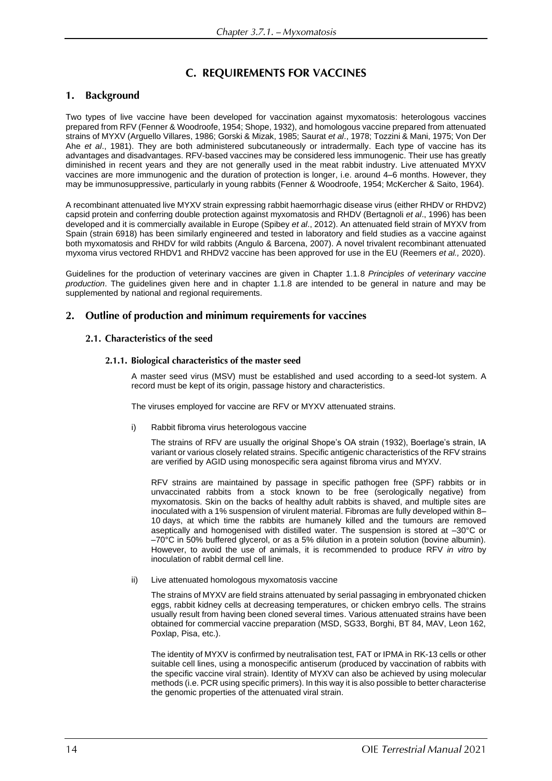# **C. REQUIREMENTS FOR VACCINES**

#### **Background** 1.

Two types of live vaccine have been developed for vaccination against myxomatosis: heterologous vaccines prepared from RFV (Fenner & Woodroofe, 1954; Shope, 1932), and homologous vaccine prepared from attenuated strains of MYXV (Arguello Villares, 1986; Gorski & Mizak, 1985; Saurat *et al*., 1978; Tozzini & Mani, 1975; Von Der Ahe *et al*., 1981). They are both administered subcutaneously or intradermally. Each type of vaccine has its advantages and disadvantages. RFV-based vaccines may be considered less immunogenic. Their use has greatly diminished in recent years and they are not generally used in the meat rabbit industry. Live attenuated MYXV vaccines are more immunogenic and the duration of protection is longer, i.e. around 4–6 months. However, they may be immunosuppressive, particularly in young rabbits (Fenner & Woodroofe, 1954; McKercher & Saito, 1964).

A recombinant attenuated live MYXV strain expressing rabbit haemorrhagic disease virus (either RHDV or RHDV2) capsid protein and conferring double protection against myxomatosis and RHDV (Bertagnoli *et al*., 1996) has been developed and it is commercially available in Europe (Spibey *et al*., 2012). An attenuated field strain of MYXV from Spain (strain 6918) has been similarly engineered and tested in laboratory and field studies as a vaccine against both myxomatosis and RHDV for wild rabbits (Angulo & Barcena, 2007). A novel trivalent recombinant attenuated myxoma virus vectored RHDV1 and RHDV2 vaccine has been approved for use in the EU (Reemers *et al.,* 2020).

Guidelines for the production of veterinary vaccines are given in Chapter 1.1.8 *Principles of veterinary vaccine production*. The guidelines given here and in chapter 1.1.8 are intended to be general in nature and may be supplemented by national and regional requirements.

#### Outline of production and minimum requirements for vaccines  $2.$

#### 2.1. Characteristics of the seed

#### 2.1.1. Biological characteristics of the master seed

A master seed virus (MSV) must be established and used according to a seed-lot system. A record must be kept of its origin, passage history and characteristics.

The viruses employed for vaccine are RFV or MYXV attenuated strains.

i) Rabbit fibroma virus heterologous vaccine

The strains of RFV are usually the original Shope's OA strain (1932), Boerlage's strain, IA variant or various closely related strains. Specific antigenic characteristics of the RFV strains are verified by AGID using monospecific sera against fibroma virus and MYXV.

RFV strains are maintained by passage in specific pathogen free (SPF) rabbits or in unvaccinated rabbits from a stock known to be free (serologically negative) from myxomatosis. Skin on the backs of healthy adult rabbits is shaved, and multiple sites are inoculated with a 1% suspension of virulent material. Fibromas are fully developed within 8– 10 days, at which time the rabbits are humanely killed and the tumours are removed aseptically and homogenised with distilled water. The suspension is stored at –30°C or –70°C in 50% buffered glycerol, or as a 5% dilution in a protein solution (bovine albumin). However, to avoid the use of animals, it is recommended to produce RFV *in vitro* by inoculation of rabbit dermal cell line.

ii) Live attenuated homologous myxomatosis vaccine

The strains of MYXV are field strains attenuated by serial passaging in embryonated chicken eggs, rabbit kidney cells at decreasing temperatures, or chicken embryo cells. The strains usually result from having been cloned several times. Various attenuated strains have been obtained for commercial vaccine preparation (MSD, SG33, Borghi, BT 84, MAV, Leon 162, Poxlap, Pisa, etc.).

The identity of MYXV is confirmed by neutralisation test, FAT or IPMA in RK-13 cells or other suitable cell lines, using a monospecific antiserum (produced by vaccination of rabbits with the specific vaccine viral strain). Identity of MYXV can also be achieved by using molecular methods (i.e. PCR using specific primers). In this way it is also possible to better characterise the genomic properties of the attenuated viral strain.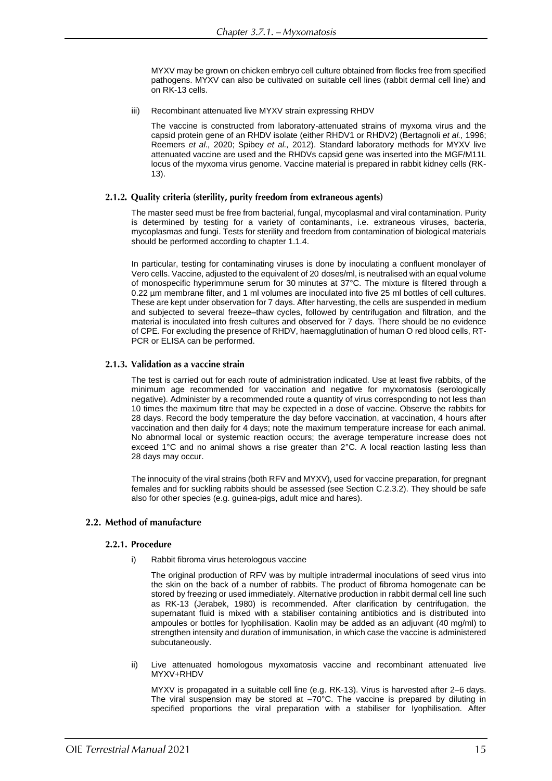MYXV may be grown on chicken embryo cell culture obtained from flocks free from specified pathogens. MYXV can also be cultivated on suitable cell lines (rabbit dermal cell line) and on RK-13 cells.

iii) Recombinant attenuated live MYXV strain expressing RHDV

The vaccine is constructed from laboratory-attenuated strains of myxoma virus and the capsid protein gene of an RHDV isolate (either RHDV1 or RHDV2) (Bertagnoli *et al.,* 1996; Reemers *et al.,* 2020; Spibey *et al.,* 2012). Standard laboratory methods for MYXV live attenuated vaccine are used and the RHDVs capsid gene was inserted into the MGF/M11L locus of the myxoma virus genome. Vaccine material is prepared in rabbit kidney cells (RK-13).

#### 2.1.2. Quality criteria (sterility, purity freedom from extraneous agents)

The master seed must be free from bacterial, fungal, mycoplasmal and viral contamination. Purity is determined by testing for a variety of contaminants, i.e. extraneous viruses, bacteria, mycoplasmas and fungi. Tests for sterility and freedom from contamination of biological materials should be performed according to chapter 1.1.4.

In particular, testing for contaminating viruses is done by inoculating a confluent monolayer of Vero cells. Vaccine, adjusted to the equivalent of 20 doses/ml, is neutralised with an equal volume of monospecific hyperimmune serum for 30 minutes at 37°C. The mixture is filtered through a 0.22 um membrane filter, and 1 ml volumes are inoculated into five 25 ml bottles of cell cultures. These are kept under observation for 7 days. After harvesting, the cells are suspended in medium and subjected to several freeze–thaw cycles, followed by centrifugation and filtration, and the material is inoculated into fresh cultures and observed for 7 days. There should be no evidence of CPE. For excluding the presence of RHDV, haemagglutination of human O red blood cells, RT-PCR or ELISA can be performed.

#### 2.1.3. Validation as a vaccine strain

The test is carried out for each route of administration indicated. Use at least five rabbits, of the minimum age recommended for vaccination and negative for myxomatosis (serologically negative). Administer by a recommended route a quantity of virus corresponding to not less than 10 times the maximum titre that may be expected in a dose of vaccine. Observe the rabbits for 28 days. Record the body temperature the day before vaccination, at vaccination, 4 hours after vaccination and then daily for 4 days; note the maximum temperature increase for each animal. No abnormal local or systemic reaction occurs; the average temperature increase does not exceed 1°C and no animal shows a rise greater than 2°C. A local reaction lasting less than 28 days may occur.

The innocuity of the viral strains (both RFV and MYXV), used for vaccine preparation, for pregnant females and for suckling rabbits should be assessed (see Section C.2.3.2). They should be safe also for other species (e.g. guinea-pigs, adult mice and hares).

### 2.2. Method of manufacture

#### 2.2.1. Procedure

i) Rabbit fibroma virus heterologous vaccine

The original production of RFV was by multiple intradermal inoculations of seed virus into the skin on the back of a number of rabbits. The product of fibroma homogenate can be stored by freezing or used immediately. Alternative production in rabbit dermal cell line such as RK-13 (Jerabek, 1980) is recommended. After clarification by centrifugation, the supernatant fluid is mixed with a stabiliser containing antibiotics and is distributed into ampoules or bottles for Iyophilisation. Kaolin may be added as an adjuvant (40 mg/ml) to strengthen intensity and duration of immunisation, in which case the vaccine is administered subcutaneously.

ii) Live attenuated homologous myxomatosis vaccine and recombinant attenuated live MYXV+RHDV

MYXV is propagated in a suitable cell line (e.g. RK-13). Virus is harvested after 2–6 days. The viral suspension may be stored at  $-70^{\circ}$ C. The vaccine is prepared by diluting in specified proportions the viral preparation with a stabiliser for Iyophilisation. After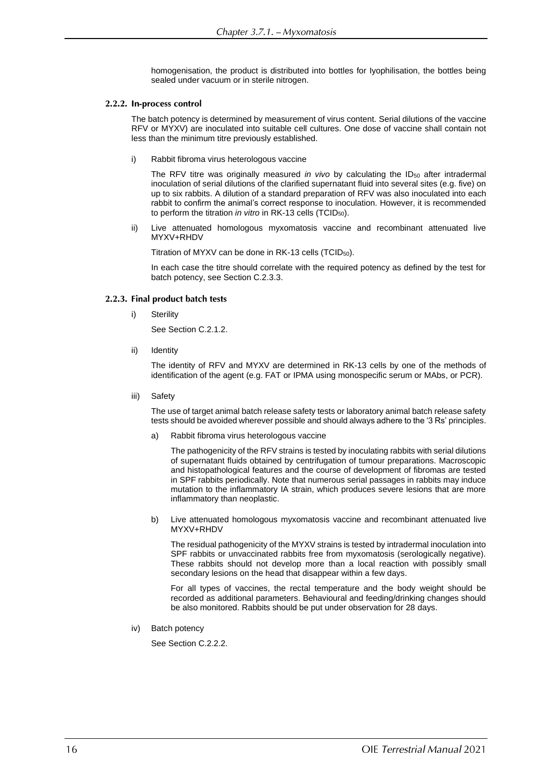homogenisation, the product is distributed into bottles for Iyophilisation, the bottles being sealed under vacuum or in sterile nitrogen.

#### 2.2.2. In-process control

The batch potency is determined by measurement of virus content. Serial dilutions of the vaccine RFV or MYXV) are inoculated into suitable cell cultures. One dose of vaccine shall contain not less than the minimum titre previously established.

i) Rabbit fibroma virus heterologous vaccine

The RFV titre was originally measured *in vivo* by calculating the ID<sub>50</sub> after intradermal inoculation of serial dilutions of the clarified supernatant fluid into several sites (e.g. five) on up to six rabbits. A dilution of a standard preparation of RFV was also inoculated into each rabbit to confirm the animal's correct response to inoculation. However, it is recommended to perform the titration *in vitro* in RK-13 cells (TCID<sub>50</sub>).

ii) Live attenuated homologous myxomatosis vaccine and recombinant attenuated live MYXV+RHDV

Titration of MYXV can be done in RK-13 cells (TCID50).

In each case the titre should correlate with the required potency as defined by the test for batch potency, see Section C.2.3.3.

#### 2.2.3. Final product batch tests

i) Sterility

See Section C.2.1.2.

ii) Identity

The identity of RFV and MYXV are determined in RK-13 cells by one of the methods of identification of the agent (e.g. FAT or IPMA using monospecific serum or MAbs, or PCR).

iii) Safety

The use of target animal batch release safety tests or laboratory animal batch release safety tests should be avoided wherever possible and should always adhere to the '3 Rs' principles.

a) Rabbit fibroma virus heterologous vaccine

The pathogenicity of the RFV strains is tested by inoculating rabbits with serial dilutions of supernatant fluids obtained by centrifugation of tumour preparations. Macroscopic and histopathological features and the course of development of fibromas are tested in SPF rabbits periodically. Note that numerous serial passages in rabbits may induce mutation to the inflammatory IA strain, which produces severe lesions that are more inflammatory than neoplastic.

b) Live attenuated homologous myxomatosis vaccine and recombinant attenuated live MYXV+RHDV

The residual pathogenicity of the MYXV strains is tested by intradermal inoculation into SPF rabbits or unvaccinated rabbits free from myxomatosis (serologically negative). These rabbits should not develop more than a local reaction with possibly small secondary lesions on the head that disappear within a few days.

For all types of vaccines, the rectal temperature and the body weight should be recorded as additional parameters. Behavioural and feeding/drinking changes should be also monitored. Rabbits should be put under observation for 28 days.

iv) Batch potency

See Section C.2.2.2.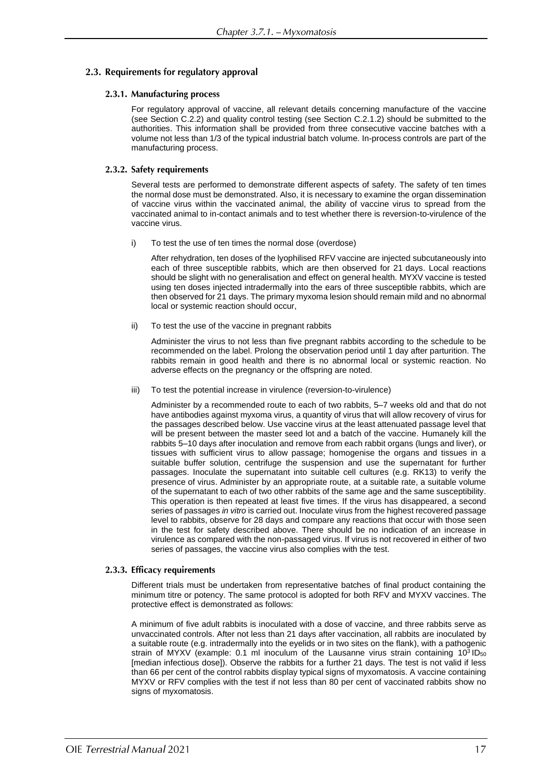### 2.3. Requirements for regulatory approval

#### 2.3.1. Manufacturing process

For regulatory approval of vaccine, all relevant details concerning manufacture of the vaccine (see Section C.2.2) and quality control testing (see Section C.2.1.2) should be submitted to the authorities. This information shall be provided from three consecutive vaccine batches with a volume not less than 1/3 of the typical industrial batch volume. In-process controls are part of the manufacturing process.

#### 2.3.2. Safety requirements

Several tests are performed to demonstrate different aspects of safety. The safety of ten times the normal dose must be demonstrated. Also, it is necessary to examine the organ dissemination of vaccine virus within the vaccinated animal, the ability of vaccine virus to spread from the vaccinated animal to in-contact animals and to test whether there is reversion-to-virulence of the vaccine virus.

i) To test the use of ten times the normal dose (overdose)

After rehydration, ten doses of the lyophilised RFV vaccine are injected subcutaneously into each of three susceptible rabbits, which are then observed for 21 days. Local reactions should be slight with no generalisation and effect on general health. MYXV vaccine is tested using ten doses injected intradermally into the ears of three susceptible rabbits, which are then observed for 21 days. The primary myxoma lesion should remain mild and no abnormal local or systemic reaction should occur,

ii) To test the use of the vaccine in pregnant rabbits

Administer the virus to not less than five pregnant rabbits according to the schedule to be recommended on the label. Prolong the observation period until 1 day after parturition. The rabbits remain in good health and there is no abnormal local or systemic reaction. No adverse effects on the pregnancy or the offspring are noted.

iii) To test the potential increase in virulence (reversion-to-virulence)

Administer by a recommended route to each of two rabbits, 5–7 weeks old and that do not have antibodies against myxoma virus, a quantity of virus that will allow recovery of virus for the passages described below. Use vaccine virus at the least attenuated passage level that will be present between the master seed lot and a batch of the vaccine. Humanely kill the rabbits 5–10 days after inoculation and remove from each rabbit organs (lungs and liver), or tissues with sufficient virus to allow passage; homogenise the organs and tissues in a suitable buffer solution, centrifuge the suspension and use the supernatant for further passages. Inoculate the supernatant into suitable cell cultures (e.g. RK13) to verify the presence of virus. Administer by an appropriate route, at a suitable rate, a suitable volume of the supernatant to each of two other rabbits of the same age and the same susceptibility. This operation is then repeated at least five times. If the virus has disappeared, a second series of passages *in vitro* is carried out. Inoculate virus from the highest recovered passage level to rabbits, observe for 28 days and compare any reactions that occur with those seen in the test for safety described above. There should be no indication of an increase in virulence as compared with the non-passaged virus. If virus is not recovered in either of two series of passages, the vaccine virus also complies with the test.

#### 2.3.3. Efficacy requirements

Different trials must be undertaken from representative batches of final product containing the minimum titre or potency. The same protocol is adopted for both RFV and MYXV vaccines. The protective effect is demonstrated as follows:

A minimum of five adult rabbits is inoculated with a dose of vaccine*,* and three rabbits serve as unvaccinated controls. After not less than 21 days after vaccination, all rabbits are inoculated by a suitable route (e.g. intradermally into the eyelids or in two sites on the flank), with a pathogenic strain of MYXV (example: 0.1 ml inoculum of the Lausanne virus strain containing  $10^3$  ID<sub>50</sub> [median infectious dose]). Observe the rabbits for a further 21 days. The test is not valid if less than 66 per cent of the control rabbits display typical signs of myxomatosis. A vaccine containing MYXV or RFV complies with the test if not less than 80 per cent of vaccinated rabbits show no signs of myxomatosis.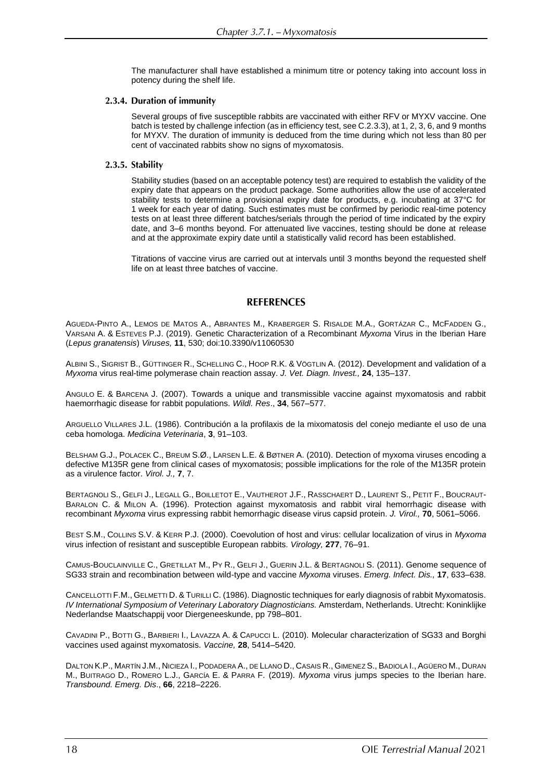The manufacturer shall have established a minimum titre or potency taking into account loss in potency during the shelf life.

#### 2.3.4. Duration of immunity

Several groups of five susceptible rabbits are vaccinated with either RFV or MYXV vaccine. One batch is tested by challenge infection (as in efficiency test, see C.2.3.3), at 1, 2, 3, 6, and 9 months for MYXV*.* The duration of immunity is deduced from the time during which not less than 80 per cent of vaccinated rabbits show no signs of myxomatosis.

#### 2.3.5. Stability

Stability studies (based on an acceptable potency test) are required to establish the validity of the expiry date that appears on the product package. Some authorities allow the use of accelerated stability tests to determine a provisional expiry date for products, e.g. incubating at 37°C for 1 week for each year of dating. Such estimates must be confirmed by periodic real-time potency tests on at least three different batches/serials through the period of time indicated by the expiry date, and 3–6 months beyond. For attenuated live vaccines, testing should be done at release and at the approximate expiry date until a statistically valid record has been established.

Titrations of vaccine virus are carried out at intervals until 3 months beyond the requested shelf life on at least three batches of vaccine.

#### **REFERENCES**

AGUEDA-PINTO A., LEMOS DE MATOS A., ABRANTES M., KRABERGER S. RISALDE M.A., GORTÁZAR C., MCFADDEN G., VARSANI A. & ESTEVES P.J. (2019). Genetic Characterization of a Recombinant *Myxoma* Virus in the Iberian Hare (*Lepus granatensis*) *Viruses,* **11**, 530; doi:10.3390/v11060530

ALBINI S., SIGRIST B., GÜTTINGER R., SCHELLING C., HOOP R.K. & VÖGTLIN A. (2012). Development and validation of a *Myxoma* virus real-time polymerase chain reaction assay. *J. Vet. Diagn. Invest.,* **24**, 135–137.

ANGULO E. & BARCENA J. (2007). Towards a unique and transmissible vaccine against myxomatosis and rabbit haemorrhagic disease for rabbit populations. *Wildl. Res*., **34**, 567–577.

ARGUELLO VILLARES J.L. (1986). Contribución a la profilaxis de la mixomatosis del conejo mediante el uso de una ceba homologa. *Medicina Veterinaria*, **3**, 91–103.

BELSHAM G.J., POLACEK C., BREUM S.Ø., LARSEN L.E. & BØTNER A. (2010). Detection of myxoma viruses encoding a defective M135R gene from clinical cases of myxomatosis; possible implications for the role of the M135R protein as a virulence factor. *Virol. J.,* **7**, 7.

BERTAGNOLI S., GELFI J., LEGALL G., BOILLETOT E., VAUTHEROT J.F., RASSCHAERT D., LAURENT S., PETIT F., BOUCRAUT-BARALON C. & MILON A. (1996). Protection against myxomatosis and rabbit viral hemorrhagic disease with recombinant *Myxoma* virus expressing rabbit hemorrhagic disease virus capsid protein. *J. Virol.,* **70**, 5061–5066.

BEST S.M., COLLINS S.V. & KERR P.J. (2000). Coevolution of host and virus: cellular localization of virus in *Myxoma* virus infection of resistant and susceptible European rabbits. *Virology,* **277**, 76–91.

CAMUS-BOUCLAINVILLE C., GRETILLAT M., PY R., GELFI J., GUERIN J.L. & BERTAGNOLI S. (2011). Genome sequence of SG33 strain and recombination between wild-type and vaccine *Myxoma* viruses. *Emerg. Infect. Dis.,* **17**, 633–638.

CANCELLOTTI F.M., GELMETTI D. & TURILLI C. (1986). Diagnostic techniques for early diagnosis of rabbit Myxomatosis. *IV International Symposium of Veterinary Laboratory Diagnosticians.* Amsterdam, Netherlands. Utrecht: Koninklijke Nederlandse Maatschappij voor Diergeneeskunde, pp 798–801.

CAVADINI P., BOTTI G., BARBIERI I., LAVAZZA A. & CAPUCCI L. (2010). Molecular characterization of SG33 and Borghi vaccines used against myxomatosis. *Vaccine,* **28**, 5414–5420.

DALTON K.P., MARTÍN J.M., NICIEZA I., PODADERA A., DE LLANO D., CASAIS R., GIMENEZ S., BADIOLA I., AGÜERO M., DURAN M., BUITRAGO D., ROMERO L.J., GARCÍA E. & PARRA F. (2019). *Myxoma* virus jumps species to the Iberian hare. *Transbound. Emerg. Dis*., **66**, 2218–2226.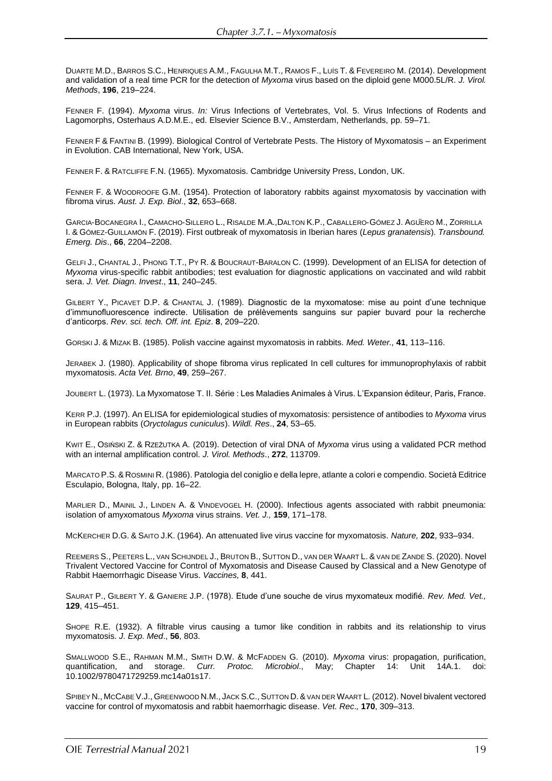DUARTE M.D., BARROS S.C., HENRIQUES A.M., FAGULHA M.T., RAMOS F., LUÍS T. & FEVEREIRO M. (2014). Development and validation of a real time PCR for the detection of *Myxoma* virus based on the diploid gene M000.5L/R. *J. Virol. Methods*, **196**, 219–224.

FENNER F. (1994). *Myxoma* virus. *In:* Virus Infections of Vertebrates, Vol. 5. Virus Infections of Rodents and Lagomorphs, Osterhaus A.D.M.E., ed. Elsevier Science B.V., Amsterdam, Netherlands, pp. 59–71.

FENNER F & FANTINI B. (1999). Biological Control of Vertebrate Pests. The History of Myxomatosis – an Experiment in Evolution. CAB International, New York, USA.

FENNER F. & RATCLIFFE F.N. (1965). Myxomatosis. Cambridge University Press, London, UK.

FENNER F. & WOODROOFE G.M. (1954). Protection of laboratory rabbits against myxomatosis by vaccination with fibroma virus. *Aust. J. Exp. Biol*., **32**, 653–668.

GARCIA‐BOCANEGRA I., CAMACHO‐SILLERO L., RISALDE M.A.,DALTON K.P., CABALLERO‐GÓMEZ J. AGÜERO M., ZORRILLA I. & GÓMEZ‐GUILLAMÓN F. (2019). First outbreak of myxomatosis in Iberian hares (*Lepus granatensis*). *Transbound. Emerg. Dis*., **66**, 2204–2208.

GELFI J., CHANTAL J., PHONG T.T., PY R. & BOUCRAUT-BARALON C. (1999). Development of an ELISA for detection of *Myxoma* virus-specific rabbit antibodies; test evaluation for diagnostic applications on vaccinated and wild rabbit sera. *J. Vet. Diagn. Invest*., **11**, 240–245.

GILBERT Y., PICAVET D.P. & CHANTAL J. (1989). Diagnostic de la myxomatose: mise au point d'une technique d'immunofluorescence indirecte. Utilisation de prélèvements sanguins sur papier buvard pour la recherche d'anticorps. *Rev. sci. tech. Off. int. Epiz*. **8**, 209–220.

GORSKI J. & MIZAK B. (1985). Polish vaccine against myxomatosis in rabbits. *Med. Weter.,* **41**, 113–116.

JERABEK J. (1980). Applicability of shope fibroma virus replicated In cell cultures for immunoprophylaxis of rabbit myxomatosis. *Acta Vet. Brno*, **49**, 259–267.

JOUBERT L. (1973). La Myxomatose T. II. Série : Les Maladies Animales à Virus. L'Expansion éditeur, Paris, France.

KERR P.J. (1997). An ELISA for epidemiological studies of myxomatosis: persistence of antibodies to *Myxoma* virus in European rabbits (*Oryctolagus cuniculus*). *Wildl. Res*., **24**, 53–65.

KWIT E., OSIŃSKI Z. & RZEŻUTKA A. (2019). Detection of viral DNA of *Myxoma* virus using a validated PCR method with an internal amplification control. *J. Virol. Methods*., **272**, 113709.

MARCATO P.S.& ROSMINI R. (1986). Patologia del coniglio e della lepre, atlante a colori e compendio. Società Editrice Esculapio, Bologna, Italy, pp. 16–22.

MARLIER D., MAINIL J., LINDEN A. & VINDEVOGEL H. (2000). Infectious agents associated with rabbit pneumonia: isolation of amyxomatous *Myxoma* virus strains. *Vet. J.,* **159**, 171–178.

MCKERCHER D.G. & SAITO J.K. (1964). An attenuated live virus vaccine for myxomatosis. *Nature,* **202**, 933–934.

REEMERS S., PEETERS L., VAN SCHIJNDEL J., BRUTON B., SUTTON D., VAN DER WAART L. & VAN DE ZANDE S. (2020). Novel Trivalent Vectored Vaccine for Control of Myxomatosis and Disease Caused by Classical and a New Genotype of Rabbit Haemorrhagic Disease Virus. *Vaccines,* **8**, 441.

SAURAT P., GILBERT Y. & GANIERE J.P. (1978). Etude d'une souche de virus myxomateux modifié. *Rev. Med. Vet.,*  **129**, 415–451.

SHOPE R.E. (1932). A filtrable virus causing a tumor like condition in rabbits and its relationship to virus myxomatosis. *J. Exp. Med*., **56**, 803.

SMALLWOOD S.E., RAHMAN M.M., SMITH D.W. & MCFADDEN G. (2010). *Myxoma* virus: propagation, purification, quantification, and storage. *Curr. Protoc. Microbiol*., May; Chapter 14: Unit 14A.1. doi: 10.1002/9780471729259.mc14a01s17.

SPIBEY N., MCCABE V.J., GREENWOOD N.M., JACK S.C.,SUTTON D.&VAN DER WAART L. (2012). Novel bivalent vectored vaccine for control of myxomatosis and rabbit haemorrhagic disease. *Vet. Rec*.*,* **170**, 309–313.